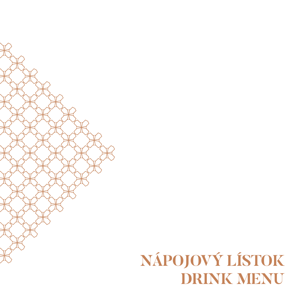## **NÁPOJOVÝ LÍSTOK DRINK MENU**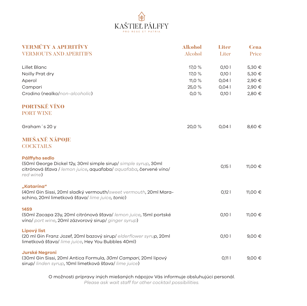

| <b>VERMÚTY A APERITÍVY</b>                                                                                                                                        | <b>Alkohol</b> | <b>Liter</b> | <b>Cena</b>     |
|-------------------------------------------------------------------------------------------------------------------------------------------------------------------|----------------|--------------|-----------------|
| <b>VERMOUTS AND APERITIFS</b>                                                                                                                                     | Alcohol        | Liter        | Price           |
| Lillet Blanc                                                                                                                                                      | 17,0 %         | 0,101        | 5,30 €          |
| Noilly Prat dry                                                                                                                                                   | 17,0 %         | 0,101        | 5,30 €          |
| Aperol                                                                                                                                                            | 11,0 %         | 0,041        | 2,90 €          |
| Campari                                                                                                                                                           | 25,0 %         | 0,04         | 2,90 €          |
| Crodino (nealko/non-alcoholic)                                                                                                                                    | 0,0%           | 0,101        | 2,80 €          |
| <b>PORTSKÉ VÍNO</b>                                                                                                                                               |                |              |                 |
| <b>PORT WINE</b>                                                                                                                                                  |                |              |                 |
| Graham's 20 y                                                                                                                                                     | 20,0%          | 0,041        | 8,60 €          |
| <b>MIEŠANÉ NÁPOJE</b><br><b>COCKTAILS</b>                                                                                                                         |                |              |                 |
|                                                                                                                                                                   |                |              |                 |
| Pálffyho sedlo<br>(50ml George Dickel 12y, 30ml simple sirup/ simple syrup, 30ml<br>citrónová šťava / lemon juice, aquafaba/ aquafaba, červené víno/<br>red wine) |                | 0,15         | 11,00 €         |
| "Katarína"<br>(40ml Gin Sissi, 20ml sladký vermouth/sweet vermouth, 20ml Mara-<br>schino, 20ml limetková šťava/ lime juice, tonic)                                |                | $0,12$       | 11,00 €         |
| 1459<br>(50ml Zacapa 23y, 20ml citrónová šťava/ lemon juice, 15ml portské<br>víno/ port wine, 20ml zázvorový sirup/ ginger syrup)                                 |                | 0,101        | 11,00 €         |
| Lipový list<br>(20 ml Gin Franz Jozef, 20ml bazový sirup/ elderflower syrup, 20ml<br>limetková šťava/ lime juice, Hey You Bubbles 40ml)                           |                | 0,101        | 9,00 $\epsilon$ |
| <b>Jurské Negroni</b><br>(30ml Gin Sissi, 20ml Antica Formula, 30ml Campari, 20ml lipový<br>sirup/ linden syrup, 10ml limetková šťava/ lime juice)                |                | 0,111        | 9,00 $\epsilon$ |

O možnosti prípravy iných miešaných nápojov Vás informuje obsluhujúci personál.

*Please ask wait staff for other cocktail possibilities.*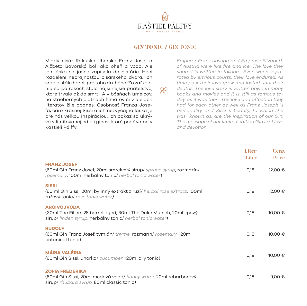

## GIN TONIC / GIN TONIC

 $R$ 

Mladý cisár Rakúsko-Uhorska Franz Josef a Alžbeta Bavorská boli ako oheň a voda. Ale ich láska sa jasne zapísala do histórie. Hoci rozdelení neprajnosťou cisárskeho dvora, ich srdcia stále horeli pre toho druhého. Zo zaľúbenia sa po rokoch stalo najsilnejšie priateľstvo, ktoré trvalo až do smrti. A v básňach umelcov, na strieborných plátnach filmárov či v dielach literátov žije dodnes. Osobnosť Franza Josefa, čaro krásnej Sissi a ich nezvyčajná láska je pre nás veľkou inšpiráciou. Ich odkaz sa ukrýva v limitovanej edícii ginov, ktoré podávame v Kaštieli Pálffy.

*Emperor Franz Joseph and Empress Elizabeth of Austria were like fire and ice. The love they shared is written in folklore. Even when separated by envious courts, their love endured. As time past their love grew and lasted until their deaths. The love story is written down in many books and movies and it is still as famous today as it was then. The love and affection they had for each other as well as Franz Joseph´s personality and Sissi´s beauty, to which she was known as, are the inspiration of our Gin. The message of our limited edition Gin is of love and devotion.*

|                                                                                                                                                     | Liter<br>Liter | <b>Cena</b><br>Price |
|-----------------------------------------------------------------------------------------------------------------------------------------------------|----------------|----------------------|
| <b>FRANZ JOSEF</b><br>(60ml Gin Franz Josef, 20ml smrekový sirup/ spruce syrup, rozmarín/<br>rosemary, 100ml herbálny tonic/ herbal tonic water)    | 0,18           | 12,00 €              |
| <b>SISSI</b><br>(60 ml Gin Sissi, 20ml bylinný extrakt z ruží/ herbal rose extract, 100ml<br>ružový tonic/ rose tonic water)                        | $0,18$         | 12,00 €              |
| <b>ARCIVOJVODA</b><br>(30ml The Fillers 28 barrel aged, 30ml The Duke Munich, 20ml lipový<br>sirup/linden syrup, herbálny tonic/herbal tonic water) | $0,18$         | 10,00 €              |
| <b>RUDOLF</b><br>(60ml Gin Franz Josef, tymián/ thyme, rozmarín/ rosemary, 120ml<br>botanical tonic)                                                | 0,18           | 10,00 €              |
| <b>MÁRIA VALÉRIA</b><br>(60ml Gin Sissi, uhorka/cucumber, 120ml dry tonic)                                                                          | 0,18           | 10,00 €              |
| <b>ŽOFIA FREDERIKA</b><br>(60ml Gin Sissi, 20ml medová voda/ honey water, 20ml rebarborový<br>sirup/ rhubarb syrup, 80ml classic tonic)             | 0,18           | 9,00 €               |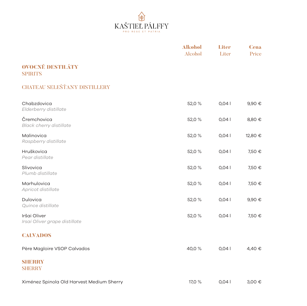

|                                               | <b>Alkohol</b><br><b>Alcohol</b> | <b>Liter</b><br>Liter | <b>Cena</b><br>Price |
|-----------------------------------------------|----------------------------------|-----------------------|----------------------|
| <b>OVOCNÉ DESTILÁTY</b><br><b>SPIRITS</b>     |                                  |                       |                      |
| <b>CHATEAU SELEŠŤANY DISTILLERY</b>           |                                  |                       |                      |
| Chabzdovica<br>Elderberry distillate          | 52,0 %                           | 0,041                 | 9,90 €               |
| Čremchovica<br><b>Black cherry distillate</b> | 52,0 %                           | 0,041                 | 8,80 €               |
| Malinovica<br>Raspberry distillate            | 52,0 %                           | 0,041                 | 12,80 €              |
| Hruškovica<br>Pear distillate                 | 52,0 %                           | 0,041                 | 7,50 €               |
| Slivovica<br>Plumb distillate                 | 52,0 %                           | 0,04                  | 7,50 €               |
| Marhulovica<br>Apricot distillate             | 52,0 %                           | 0,041                 | 7,50 €               |
| Dulovica<br>Quince distillate                 | 52,0 %                           | 0,041                 | 9,90 €               |
| Iršai Oliver<br>Irsai Oliver grape distillate | 52,0 %                           | 0,041                 | 7,50 €               |
| <b>CALVADOS</b>                               |                                  |                       |                      |
| Père Magloire VSOP Calvados                   | 40,0%                            | 0,041                 | 4,40 €               |
| SHERRY<br><b>SHERRY</b>                       |                                  |                       |                      |
| Ximénez Spinola Old Harvest Medium Sherry     | 17,0 %                           | 0,041                 | 3,00 €               |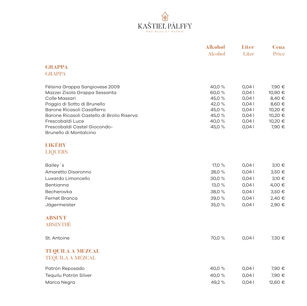

|                                                                          | <b>Alkohol</b>   | <b>Liter</b>   | <b>Cena</b>        |
|--------------------------------------------------------------------------|------------------|----------------|--------------------|
|                                                                          | <b>Alcohol</b>   | Liter          | Price              |
| <b>GRAPPA</b>                                                            |                  |                |                    |
| <b>GRAPPA</b>                                                            |                  |                |                    |
| Fèlsina Grappa Sangiovese 2009                                           | 40,0 %           | 0,041          | 7,90 €             |
| Mazzei Zisola Grappa Sessanta                                            | 60,0 %           | 0,041          | 10,90 €            |
| Colle Massari                                                            | 45,0 %           | 0,041          | 8,40 €             |
| Poggio di Sotto di Brunello                                              | 42,0%            | 0,041          | 8,60 €             |
| Barone Ricasoli Casalferro<br>Barone Ricasoli Castello di Brolio Riserva | 45,0 %<br>45,0 % | 0,04           | 10,20 €            |
| Frescobaldi Luce                                                         | 40,0 %           | 0,041<br>0,041 | 10,20 €<br>10,20 € |
| Frescobaldi Castel Giocondo-                                             | 45,0 %           | 0,041          | 7,90 €             |
| Brunello di Montalcino                                                   |                  |                |                    |
| LIKÉRY                                                                   |                  |                |                    |
| <b>LIQUERS</b>                                                           |                  |                |                    |
| Bailey's                                                                 | 17,0 %           | 0,041          | 3,10 €             |
| Amaretto Disaronno                                                       | 28,0%            | 0,041          | 3,50 €             |
| Luxardo Limoncello                                                       | 30,0%            | 0,041          | 3,10 €             |
| Bentianna                                                                | 13,0 %           | 0,041          | 4,00 €             |
| Becherovka                                                               | 38,0%            | 0,041          | 3,50 €             |
| <b>Fernet Branca</b>                                                     | 39,0%            | 0,041          | 2,40 €             |
| Jägermeister                                                             | 35,0%            | 0,041          | 2,90 €             |
| <b>ABSINT</b>                                                            |                  |                |                    |
| <b>ABSINTHÉ</b>                                                          |                  |                |                    |
| St. Antoine                                                              | 70,0 %           | 0,041          | 7,30 €             |
| <b>TEQUILA A MIEZGAL</b>                                                 |                  |                |                    |
| <b>TEQUILA A MEZCAL</b>                                                  |                  |                |                    |
| Patrón Reposado                                                          | 40,0 %           | 0,041          | 7,90 €             |
| Tequilu Patrón Silver                                                    | 40,0%            | 0,041          | 7,90 €             |
| Marca Negra                                                              | 49,2%            | 0,041          | 12,60 €            |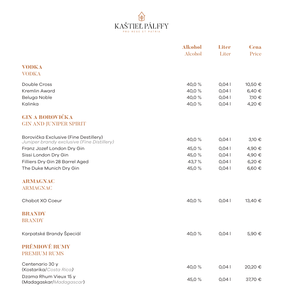

|                                                                                     | <b>Alkohol</b><br><b>Alcohol</b> | Liter<br>Liter | <b>Cena</b><br>Price |
|-------------------------------------------------------------------------------------|----------------------------------|----------------|----------------------|
| <b>VODKA</b><br><b>VODKA</b>                                                        |                                  |                |                      |
| Double Cross                                                                        | 40,0 %                           | 0,041          | 10,50 €              |
| Kremlin Award                                                                       | 40,0%                            | 0,041          | 6,40 €               |
| Beluga Noble                                                                        | 40,0%                            | 0,041          | 7,10 €               |
| Kalinka                                                                             | 40,0%                            | 0,041          | 4,20 €               |
| <b>GIN A BOROVIČKA</b><br><b>GIN AND JUNIPER SPIRIT</b>                             |                                  |                |                      |
| Borovička Exclusive (Fine Destillery)<br>Juniper brandy exclusive (Fine Distillery) | 40,0 %                           | 0,041          | 3,10 €               |
| Franz Jozef London Dry Gin                                                          | 45,0 %                           | 0,041          | 4,90 €               |
| Sissi London Dry Gin                                                                | 45,0%                            | 0,041          | 4,90 €               |
| Filliers Dry Gin 28 Barrel Aged                                                     | 43,7%                            | 0,041          | 6,20 €               |
| The Duke Munich Dry Gin                                                             | 45,0%                            | 0,041          | 6,60 €               |
| ARMAGNAC                                                                            |                                  |                |                      |
| <b>ARMAGNAC</b>                                                                     |                                  |                |                      |
| Chabot XO Coeur                                                                     | 40,0 %                           | 0,041          | 13,40 €              |
| <b>BRANDY</b>                                                                       |                                  |                |                      |
| <b>BRANDY</b>                                                                       |                                  |                |                      |
| Karpatské Brandy Špeciál                                                            | 40,0 %                           | 0,041          | 5,90 €               |
| <b>PRÉMIOVÉ RUMY</b>                                                                |                                  |                |                      |
| <b>PREMIUM RUMS</b>                                                                 |                                  |                |                      |
| Centenario 30 y                                                                     | 40,0 %                           | 0,041          | 20,20 €              |
| (Kostarika/Costa Rica)                                                              |                                  |                |                      |
| Dzama Rhum Vieux 15 y<br>(Madagaskar/Madagascar)                                    | 45,0 %                           | 0,041          | 37,70 €              |
|                                                                                     |                                  |                |                      |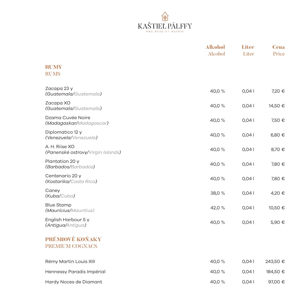

|                                                     | <b>Alkohol</b><br><b>Alcohol</b> | <b>Liter</b><br>Liter | <b>Cena</b><br>Price |
|-----------------------------------------------------|----------------------------------|-----------------------|----------------------|
| <b>RUMY</b><br><b>RUMS</b>                          |                                  |                       |                      |
| Zacapa 23 y<br>(Guatemala/Guatemala)                | 40,0%                            | 0,041                 | 7,20 €               |
| Zacapa XO<br>(Guatemala/Guatemala)                  | 40,0 %                           | 0,041                 | 14,50 €              |
| Dzama Cuvée Noire<br>(Madagaskar/Madagascar)        | 40,0 %                           | 0,041                 | 7,50 €               |
| Diplomatico 12 y<br>(Venezuela/Venezuela)           | 40,0%                            | 0,04                  | 6,80 €               |
| A. H. Riise XO<br>(Panenské ostrovy/Virgin Islands) | 40,0 %                           | 0,041                 | 8,70 €               |
| Plantation 20 y<br>(Barbados/Barbados)              | 40,0 %                           | 0,04                  | 7,80 €               |
| Centenario 20 y<br>(Kostarika/Costa Rica)           | 40,0%                            | 0,04                  | 7,80 €               |
| Caney<br>(Kuba/Cuba)                                | 38,0%                            | 0,04                  | 4,20 €               |
| <b>Blue Stamp</b><br>(Maurícius/Mauritius)          | 42,0 %                           | 0,041                 | 10,50 €              |
| English Harbour 5 y<br>(Antigua/Antigua)            | 40,0 %                           | 0,041                 | 5,90 €               |
| PRÉMIOVÉ KOŇAKY<br><b>PREMIUM COGNACS</b>           |                                  |                       |                      |
| Rémy Martin Louis XIII                              | 40,0%                            | 0,041                 | 243,50 €             |
| Hennessy Paradis Impérial                           | 40,0 %                           | 0,041                 | 184,50 €             |
| Hardy Noces de Diamant                              | 40,0 %                           | 0,041                 | 97,00 €              |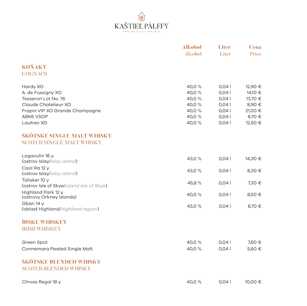

|                                                                                                                                                                                                                    | <b>Alkohol</b><br><b>Alcohol</b>                             | Liter<br>Liter                                             | <b>Cena</b><br>Price                                                    |
|--------------------------------------------------------------------------------------------------------------------------------------------------------------------------------------------------------------------|--------------------------------------------------------------|------------------------------------------------------------|-------------------------------------------------------------------------|
| <b>KOŇAKY</b><br><b>COGNACS</b>                                                                                                                                                                                    |                                                              |                                                            |                                                                         |
| Hardy XO<br>A. de Fussigny XO<br>Tesseron Lot No. 76<br>Claude Chatelieur XO<br>Frapin VIP XO Grande Champagne<br><b>ABK6 VSOP</b><br>Lautrec XO<br>ŠKÓTSKE SINGLE MALT WHISKY<br><b>SCOTCH SINGLE MALT WHISKY</b> | 40,0 %<br>40,0%<br>40,0%<br>40,0%<br>40,0%<br>40,0%<br>40,0% | 0,041<br>0,04<br>0,041<br>0,041<br>0,041<br>0,041<br>0,041 | 12,90 €<br>14,10 €<br>13,70 €<br>8,90 €<br>21,00 €<br>8,70 €<br>12,50 € |
| Lagavulin 16 y<br>(ostrov Islay/Islay island)                                                                                                                                                                      | 43,0 %                                                       | 0,041                                                      | 14,30 €                                                                 |
| Caol Illa 12 y<br>(ostrov Islay/Islay island)                                                                                                                                                                      | 43,0 %                                                       | 0,041                                                      | 8,30 €                                                                  |
| Talisker 10 y<br>(ostrov Isle of Skye/island Isle of Skye)                                                                                                                                                         | 45,8 %                                                       | 0,041                                                      | 7,30 €                                                                  |
| Highland Park 12 y<br>(ostrovy Orkney Islands)                                                                                                                                                                     | 40,0 %                                                       | 0,041                                                      | 8,50 €                                                                  |
| Oban 14 y<br>(oblast Highland/Highland region)                                                                                                                                                                     | 43,0 %                                                       | 0,041                                                      | 8,70 €                                                                  |
| <b>ÍRSKE WHISKEY</b><br><b>IRISH WHISKEY</b>                                                                                                                                                                       |                                                              |                                                            |                                                                         |
| Green Spot<br>Connemara Peated Single Malt                                                                                                                                                                         | 40.0 %<br>40,0%                                              | 0,041<br>0,041                                             | 7,60 €<br>5,60 €                                                        |
| ŠKÓTSKE BLENDED WHISKY<br><b>SCOTCH BLENDED WHISKY</b>                                                                                                                                                             |                                                              |                                                            |                                                                         |
| Chivas Regal 18 y                                                                                                                                                                                                  | 40,0%                                                        | 0,041                                                      | 10,00 €                                                                 |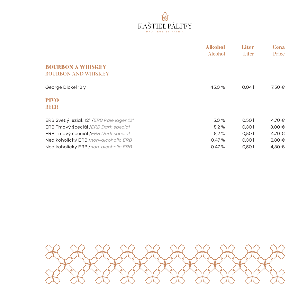

|                                                        | <b>Alkohol</b><br>Alcohol | Liter<br>Liter | <b>Cena</b><br>Price |
|--------------------------------------------------------|---------------------------|----------------|----------------------|
| <b>BOURBON A WHISKEY</b><br><b>BOURBON AND WHISKEY</b> |                           |                |                      |
|                                                        |                           |                |                      |
| George Dickel 12 y                                     | 45,0 %                    | 0.041          | 7,50 €               |
| <b>PIVO</b>                                            |                           |                |                      |
| <b>BEER</b>                                            |                           |                |                      |
| ERB Svetlý ležiak 12° /ERB Pale lager 12°              | 5,0%                      | 0,501          | 4,70 €               |
| ERB Tmavý špeciál / ERB Dark special                   | 5,2%                      | 0,301          | 3,00€                |
| <b>ERB Tmavý špeciál / ERB Dark special</b>            | 5.2%                      | 0,501          | 4,70 €               |
| Nealkoholický ERB /non-alcoholic ERB                   | 0,47%                     | 0,301          | 2,80 €               |
| Nealkoholický ERB /non-alcoholic ERB                   | 0,47%                     | 0,501          | 4,30 €               |

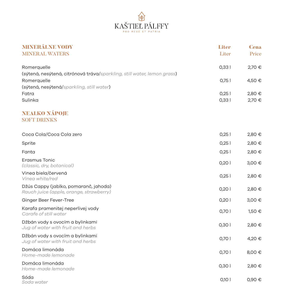

| <b>MINERÁLNE VODY</b>                                                                  | <b>Liter</b> | <b>Cena</b> |
|----------------------------------------------------------------------------------------|--------------|-------------|
| <b>MINERAL WATERS</b>                                                                  | Liter        | Price       |
| Romerquelle<br>(sýtená, nesýtená, citrónová tráva/sparkling, still water, lemon grass) | 0,331        | 2,70 €      |
| Romerquelle                                                                            | 0,75         | 4,50 €      |
| (sýtená, nesýtená/sparkling, still water)                                              |              |             |
| Fatra                                                                                  | 0,25         | 2,80 €      |
| Sulinka                                                                                | 0,331        | 2,70 €      |
| <b>NEALKO NÁPOJE</b>                                                                   |              |             |
| <b>SOFT DRINKS</b>                                                                     |              |             |
| Coca Cola/Coca Cola zero                                                               | 0,25         | 2,80 €      |
| Sprite                                                                                 | 0,25         | 2,80 €      |
| Fanta                                                                                  | 0,25         | 2,80 €      |
| Erasmus Tonic<br>(classic, dry, botanical)                                             | 0,201        | 3,00 €      |
| Vinea biela/červená<br>Vinea white/red                                                 | 0,251        | 2,80 €      |
| Džús Cappy (jablko, pomaranč, jahoda)<br>Rauch juice (apple, orange, strawberry)       | 0,20         | 2,80 €      |
| Ginger Beer Fever-Tree                                                                 | 0,20         | 3,00 €      |
| Karafa pramenitej neperlivej vody<br>Carafe of still water                             | 0,701        | 1,50 €      |
| Džbán vody s ovocím a bylinkami<br>Jug of water with fruit and herbs                   | 0,301        | 2,80 €      |
| Džbán vody s ovocím a bylinkami<br>Jug of water with fruit and herbs                   | 0,70         | 4,20 €      |
| Domáca limonáda<br>Home-made lemonade                                                  | 0,70         | 8,00 €      |
| Domáca limonáda<br>Home-made lemonade                                                  | 0,301        | 2,80 €      |
| Sóda<br>Soda water                                                                     | 0,101        | 0,90 €      |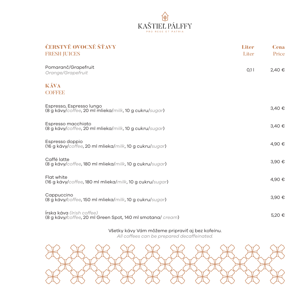

| ČERSTVÉ OVOCNÉ ŠŤAVY<br><b>FRESH JUICES</b>                                             | <b>Liter</b><br>Liter | <b>Cena</b><br>Price |
|-----------------------------------------------------------------------------------------|-----------------------|----------------------|
| Pomaranč/Grapefruit<br>Orange/Grapefruit                                                | 0,1                   | 2,40 €               |
| <b>KÁVA</b><br><b>CORREL</b>                                                            |                       |                      |
| Espresso, Espresso lungo<br>(8 g kávy/coffee, 20 ml mlieka/milk, 10 g cukru/sugar)      |                       | 3,40 €               |
| Espresso macchiato<br>(8 g kávy/coffee, 20 ml mlieka/milk, 10 g cukru/sugar)            |                       | 3,40 €               |
| Espresso doppio<br>(16 g kávy/coffee, 20 ml mlieka/milk, 10 g cukru/sugar)              |                       | 4,90 €               |
| Caffé latte<br>(8 g kávy/coffee, 180 ml mlieka/milk, 10 g cukru/sugar)                  |                       | 3,90 €               |
| Flat white<br>(16 g kávy/coffee, 180 ml mlieka/milk, 10 g cukru/sugar)                  |                       | 4,90 €               |
| Cappuccino<br>(8 g kávy/coffee, 150 ml mlieka/milk, 10 g cukru/sugar)                   |                       | 3,90 €               |
| Írska káva (Irish coffee)<br>(8 g kávy/coffee, 20 ml Green Spot, 140 ml smotana/ cream) |                       | 5,20 €               |

## Všetky kávy Vám môžeme pripraviť aj bez kofeínu.

*All coffees can be prepared decaffeinated.*

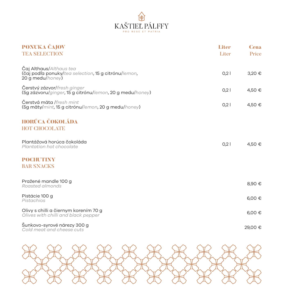

| PONUKA ČAJOV<br><b>TEA SELECTION</b>                                                                | Liter<br>Liter | <b>Cena</b><br>Price |
|-----------------------------------------------------------------------------------------------------|----------------|----------------------|
| Caj Althaus/Althaus tea<br>(čaj podľa ponuky/tea selection, 15 g citrónu/lemon,<br>20 g medu/honey) | 0,2            | 3,20 €               |
| Cerstvý zázvor/fresh ginger<br>(5g zázvoru/ginger, 15 g citrónu/lemon, 20 g medu/honey)             | 0.21           | 4,50 €               |
| Čerstvá mäta /fresh mint<br>(5g mäty/mint, 15 g citrónu/lemon, 20 g medu/honey)                     | 0.21           | 4,50 €               |
| HORÚCA ČOKOLÁDA<br><b>HOT CHOCOLATE</b>                                                             |                |                      |
| Plantážová horúca čokoláda<br>Plantation hot chocolate                                              | 0.21           | 4,50 €               |
| POCHUTINY<br><b>BAR SNACKS</b>                                                                      |                |                      |
| Pražené mandle 100 g<br>Roasted almonds                                                             |                | 8,90 €               |
| Pistácie 100 g<br>Pistachios                                                                        |                | 6,00 €               |
| Olivy s chilli a čiernym korením 70 g<br>Olives with chilli and black pepper                        |                | 6,00 €               |
| Sunkovo-syrové nárezy 300 g<br>Cold meat and cheese cuts                                            |                | 29,00 €              |